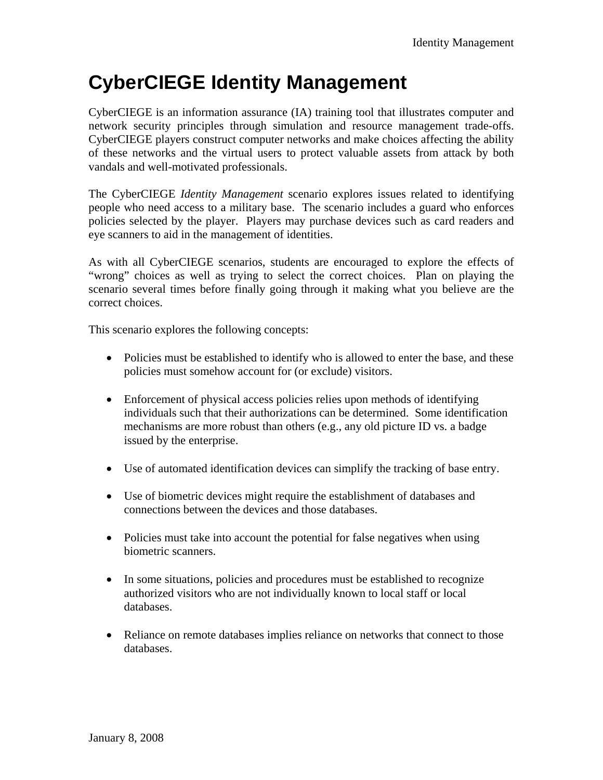# **CyberCIEGE Identity Management**

CyberCIEGE is an information assurance (IA) training tool that illustrates computer and network security principles through simulation and resource management trade-offs. CyberCIEGE players construct computer networks and make choices affecting the ability of these networks and the virtual users to protect valuable assets from attack by both vandals and well-motivated professionals.

The CyberCIEGE *Identity Management* scenario explores issues related to identifying people who need access to a military base. The scenario includes a guard who enforces policies selected by the player. Players may purchase devices such as card readers and eye scanners to aid in the management of identities.

As with all CyberCIEGE scenarios, students are encouraged to explore the effects of "wrong" choices as well as trying to select the correct choices. Plan on playing the scenario several times before finally going through it making what you believe are the correct choices.

This scenario explores the following concepts:

- Policies must be established to identify who is allowed to enter the base, and these policies must somehow account for (or exclude) visitors.
- Enforcement of physical access policies relies upon methods of identifying individuals such that their authorizations can be determined. Some identification mechanisms are more robust than others (e.g., any old picture ID vs. a badge issued by the enterprise.
- Use of automated identification devices can simplify the tracking of base entry.
- Use of biometric devices might require the establishment of databases and connections between the devices and those databases.
- Policies must take into account the potential for false negatives when using biometric scanners.
- In some situations, policies and procedures must be established to recognize authorized visitors who are not individually known to local staff or local databases.
- Reliance on remote databases implies reliance on networks that connect to those databases.